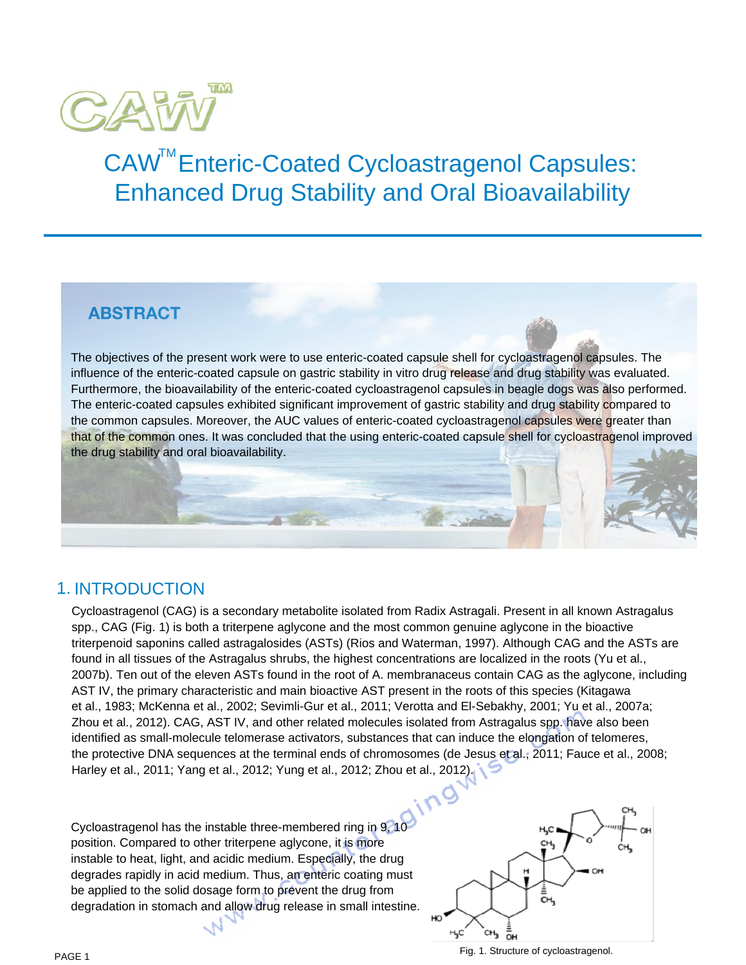

# CAW<sup>™</sup>Enteric-Coated Cycloastragenol Capsules: Enhanced Drug Stability and Oral Bioavailability

# **ABstrAct**

The objectives of the present work were to use enteric-coated capsule shell for cycloastragenol capsules. The influence of the enteric-coated capsule on gastric stability in vitro drug release and drug stability was evaluated. Furthermore, the bioavailability of the enteric-coated cycloastragenol capsules in beagle dogs was also performed. The enteric-coated capsules exhibited significant improvement of gastric stability and drug stability compared to the common capsules. Moreover, the AUC values of enteric-coated cycloastragenol capsules were greater than that of the common ones. It was concluded that the using enteric-coated capsule shell for cycloastragenol improved the drug stability and oral bioavailability.

# 1. INTRODUCTION

Cycloastragenol (CAG) is a secondary metabolite isolated from Radix Astragali. Present in all known Astragalus spp., CAG (Fig. 1) is both a triterpene aglycone and the most common genuine aglycone in the bioactive triterpenoid saponins called astragalosides (ASTs) (Rios and Waterman, 1997). Although CAG and the ASTs are found in all tissues of the Astragalus shrubs, the highest concentrations are localized in the roots (Yu et al., 2007b). Ten out of the eleven ASTs found in the root of A. membranaceus contain CAG as the aglycone, including AST IV, the primary characteristic and main bioactive AST present in the roots of this species (Kitagawa et al., 1983; McKenna et al., 2002; Sevimli-Gur et al., 2011; Verotta and El-Sebakhy, 2001; Yu et al., 2007a; Zhou et al., 2012). CAG, AST IV, and other related molecules isolated from Astragalus spp. have also been identified as small-molecule telomerase activators, substances that can induce the elongation of telomeres, the protective DNA sequences at the terminal ends of chromosomes (de Jesus et al., 2011; Fauce et al., 2008; Harley et al., 2011; Yang et al., 2012; Yung et al., 2012; Zhou et al., 2012).

Cycloastragenol has the instable three-membered ring in 9, 10 position. Compared to other triterpene aglycone, it is more instable to heat, light, and acidic medium. Especially, the drug degrades rapidly in acid medium. Thus, an enteric coating must be applied to the solid dosage form to prevent the drug from degradation in stomach and allow drug release in small intestine.



Fig. 1. Structure of cycloastragenol.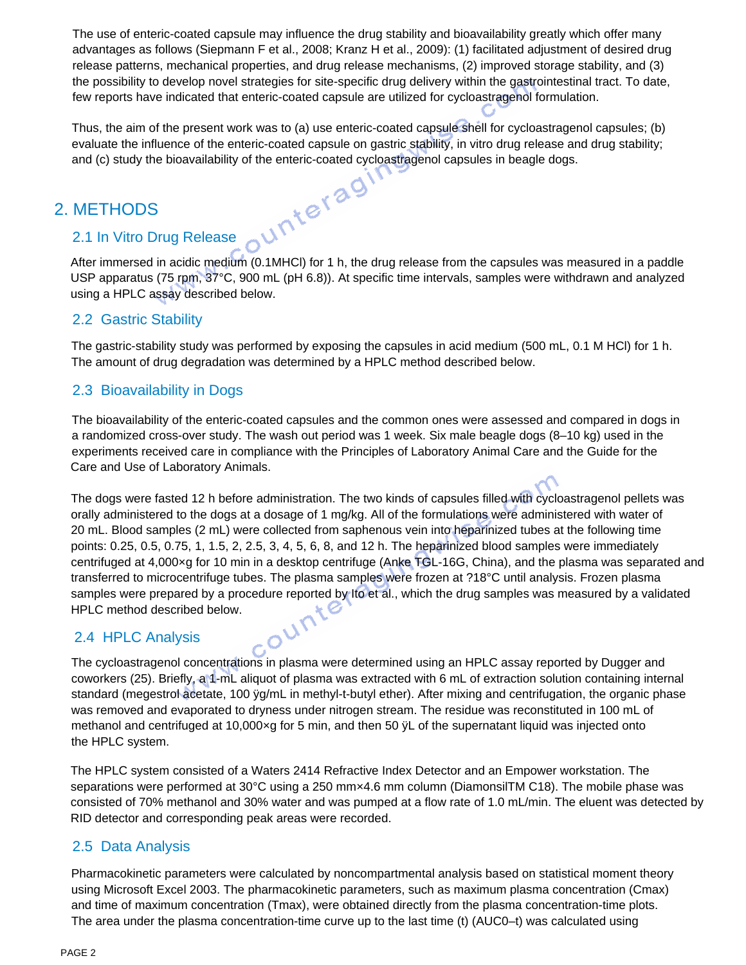The use of enteric-coated capsule may influence the drug stability and bioavailability greatly which offer many advantages as follows (Siepmann F et al., 2008; Kranz H et al., 2009): (1) facilitated adjustment of desired drug release patterns, mechanical properties, and drug release mechanisms, (2) improved storage stability, and (3) the possibility to develop novel strategies for site-specific drug delivery within the gastrointestinal tract. To date, few reports have indicated that enteric-coated capsule are utilized for cycloastragenol formulation.

Thus, the aim of the present work was to (a) use enteric-coated capsule shell for cycloastragenol capsules; (b) evaluate the influence of the enteric-coated capsule on gastric stability, in vitro drug release and drug stability; and (c) study the bioavailability of the enteric-coated cycloastragenol capsules in beagle dogs.

## 2. METHODS

## 2.1 In Vitro Drug Release

After immersed in acidic medium (0.1MHCl) for 1 h, the drug release from the capsules was measured in a paddle USP apparatus (75 rpm, 37°C, 900 mL (pH 6.8)). At specific time intervals, samples were withdrawn and analyzed using a HPLC assay described below.

#### 2.2 Gastric Stability

The gastric-stability study was performed by exposing the capsules in acid medium (500 mL, 0.1 M HCl) for 1 h. The amount of drug degradation was determined by a HPLC method described below.

## 2.3 Bioavailability in Dogs

The bioavailability of the enteric-coated capsules and the common ones were assessed and compared in dogs in a randomized cross-over study. The wash out period was 1 week. Six male beagle dogs (8–10 kg) used in the experiments received care in compliance with the Principles of Laboratory Animal Care and the Guide for the Care and Use of Laboratory Animals.

The dogs were fasted 12 h before administration. The two kinds of capsules filled with cycloastragenol pellets was orally administered to the dogs at a dosage of 1 mg/kg. All of the formulations were administered with water of 20 mL. Blood samples (2 mL) were collected from saphenous vein into heparinized tubes at the following time points: 0.25, 0.5, 0.75, 1, 1.5, 2, 2.5, 3, 4, 5, 6, 8, and 12 h. The heparinized blood samples were immediately centrifuged at 4,000×g for 10 min in a desktop centrifuge (Anke TGL-16G, China), and the plasma was separated and transferred to microcentrifuge tubes. The plasma samples were frozen at ?18°C until analysis. Frozen plasma samples were prepared by a procedure reported by Ito et al., which the drug samples was measured by a validated<br>HPLC method described below.<br>2.4 HPLC Analysis HPLC method described below.

## 2.4 HPLC Analysis

The cycloastragenol concentrations in plasma were determined using an HPLC assay reported by Dugger and coworkers (25). Briefly, a 1-mL aliquot of plasma was extracted with 6 mL of extraction solution containing internal standard (megestrol acetate, 100 ÿg/mL in methyl-t-butyl ether). After mixing and centrifugation, the organic phase was removed and evaporated to dryness under nitrogen stream. The residue was reconstituted in 100 mL of methanol and centrifuged at 10,000xg for 5 min, and then 50  $\ddot{\text{y}}$ L of the supernatant liquid was injected onto the HPLC system.

The HPLC system consisted of a Waters 2414 Refractive Index Detector and an Empower workstation. The separations were performed at 30°C using a 250 mm×4.6 mm column (DiamonsilTM C18). The mobile phase was consisted of 70% methanol and 30% water and was pumped at a flow rate of 1.0 mL/min. The eluent was detected by RID detector and corresponding peak areas were recorded.

## 2.5 Data Analysis

Pharmacokinetic parameters were calculated by noncompartmental analysis based on statistical moment theory using Microsoft Excel 2003. The pharmacokinetic parameters, such as maximum plasma concentration (Cmax) and time of maximum concentration (Tmax), were obtained directly from the plasma concentration-time plots. The area under the plasma concentration-time curve up to the last time (t) (AUC0–t) was calculated using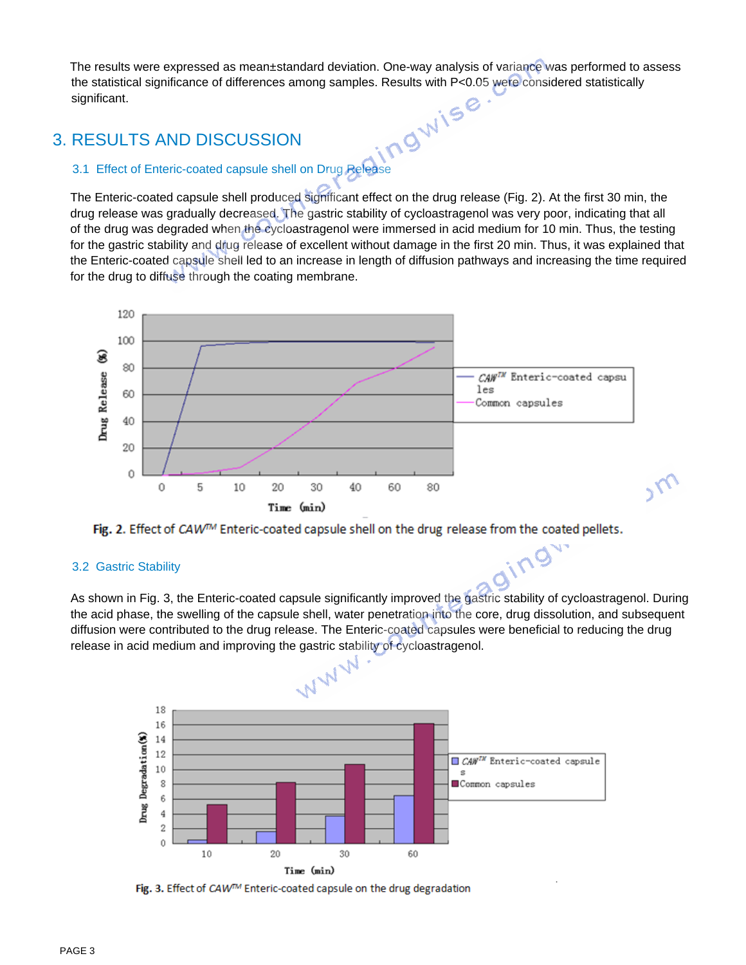The results were expressed as mean±standard deviation. One-way analysis of variance was performed to assess the statistical significance of differences among samples. Results with P<0.05 were considered statistically significant.

## 3. RESULTS AND DISCUSSION

#### 3.1 Effect of Enteric-coated capsule shell on Drug Release

The Enteric-coated capsule shell produced significant effect on the drug release (Fig. 2). At the first 30 min, the drug release was gradually decreased. The gastric stability of cycloastragenol was very poor, indicating that all of the drug was degraded when the cycloastragenol were immersed in acid medium for 10 min. Thus, the testing for the gastric stability and drug release of excellent without damage in the first 20 min. Thus, it was explained that the Enteric-coated capsule shell led to an increase in length of diffusion pathways and increasing the time required for the drug to diffuse through the coating membrane.





#### 3.2 Gastric Stability

As shown in Fig. 3, the Enteric-coated capsule significantly improved the gastric stability of cycloastragenol. During the acid phase, the swelling of the capsule shell, water penetration into the core, drug dissolution, and subsequent diffusion were contributed to the drug release. The Enteric-coated capsules were beneficial to reducing the drug

ging



Fig. 3. Effect of CAW™ Enteric-coated capsule on the drug degradation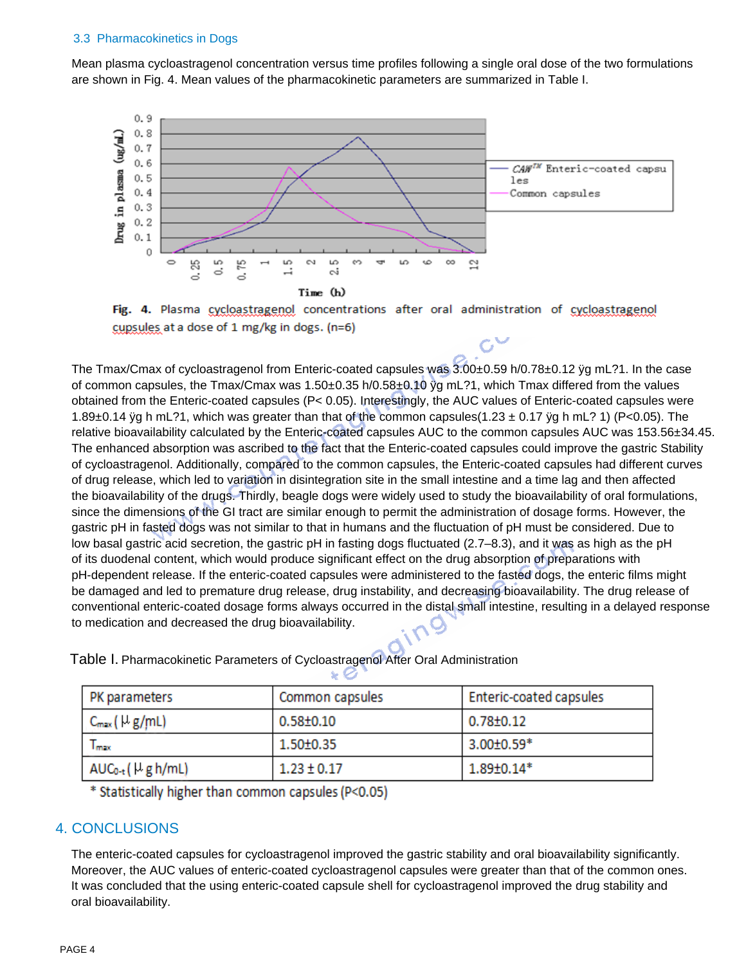#### 3.3 Pharmacokinetics in Dogs

Mean plasma cycloastragenol concentration versus time profiles following a single oral dose of the two formulations are shown in Fig. 4. Mean values of the pharmacokinetic parameters are summarized in Table I.





 $C^{\vee}$ 

 $1.89 \pm 0.14*$ 

The Tmax/Cmax of cycloastragenol from Enteric-coated capsules was 3.00±0.59 h/0.78±0.12 ÿg mL?1. In the case of common capsules, the Tmax/Cmax was 1.50±0.35 h/0.58±0.10 ÿg mL?1, which Tmax differed from the values obtained from the Enteric-coated capsules (P< 0.05). Interestingly, the AUC values of Enteric-coated capsules were 1.89 $\pm$ 0.14 yg h mL?1, which was greater than that of the common capsules(1.23  $\pm$  0.17 yg h mL? 1) (P<0.05). The relative bioavailability calculated by the Enteric-coated capsules AUC to the common capsules AUC was 153.56±34.45. The enhanced absorption was ascribed to the fact that the Enteric-coated capsules could improve the gastric Stability of cycloastragenol. Additionally, compared to the common capsules, the Enteric-coated capsules had different curves of drug release, which led to variation in disintegration site in the small intestine and a time lag and then affected the bioavailability of the drugs. Thirdly, beagle dogs were widely used to study the bioavailability of oral formulations, since the dimensions of the GI tract are similar enough to permit the administration of dosage forms. However, the gastric pH in fasted dogs was not similar to that in humans and the fluctuation of pH must be considered. Due to low basal gastric acid secretion, the gastric pH in fasting dogs fluctuated (2.7–8.3), and it was as high as the pH of its duodenal content, which would produce significant effect on the drug absorption of preparations with pH-dependent release. If the enteric-coated capsules were administered to the fasted dogs, the enteric films might be damaged and led to premature drug release, drug instability, and decreasing bioavailability. The drug release of conventional enteric-coated dosage forms always occurred in the distal small intestine, resulting in a delayed response to medication and decreased the drug bioavailability.

|  | <b>PK</b> parameters    | Common capsules | <b>Enteric-coated capsules</b> |
|--|-------------------------|-----------------|--------------------------------|
|  | $C_{\text{max}}(Hg/mL)$ | $0.58 \pm 0.10$ | $0.78 \pm 0.12$                |
|  | <b>Limps</b>            | 1.50±0.35       | $3.00 \pm 0.59*$               |

Table I. Pharmacokinetic Parameters of Cycloastragenol After Oral Administration

 $1.23 \pm 0.17$ 

\* Statistically higher than common capsules (P<0.05)

## 4. CONCLUSIONS

 $AUC_{0-t}$  (  $H$  g h/mL)

The enteric-coated capsules for cycloastragenol improved the gastric stability and oral bioavailability significantly. Moreover, the AUC values of enteric-coated cycloastragenol capsules were greater than that of the common ones. It was concluded that the using enteric-coated capsule shell for cycloastragenol improved the drug stability and oral bioavailability.